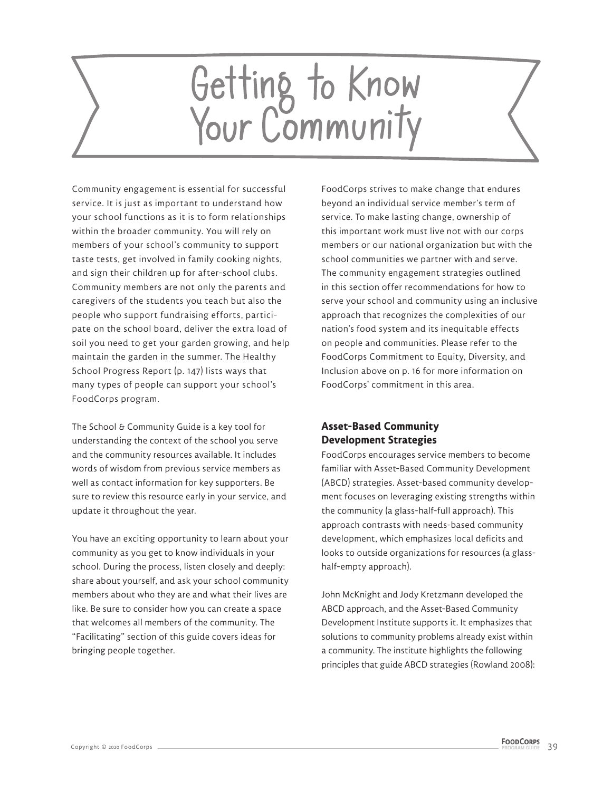# Getting to Know<br>Your Community

Community engagement is essential for successful service. It is just as important to understand how your school functions as it is to form relationships within the broader community. You will rely on members of your school's community to support taste tests, get involved in family cooking nights, and sign their children up for after-school clubs. Community members are not only the parents and caregivers of the students you teach but also the people who support fundraising efforts, participate on the school board, deliver the extra load of soil you need to get your garden growing, and help maintain the garden in the summer. The Healthy School Progress Report (p. 147) lists ways that many types of people can support your school's FoodCorps program.

The School & Community Guide is a key tool for understanding the context of the school you serve and the community resources available. It includes words of wisdom from previous service members as well as contact information for key supporters. Be sure to review this resource early in your service, and update it throughout the year.

You have an exciting opportunity to learn about your community as you get to know individuals in your school. During the process, listen closely and deeply: share about yourself, and ask your school community members about who they are and what their lives are like. Be sure to consider how you can create a space that welcomes all members of the community. The "Facilitating" section of this guide covers ideas for bringing people together.

FoodCorps strives to make change that endures beyond an individual service member's term of service. To make lasting change, ownership of this important work must live not with our corps members or our national organization but with the school communities we partner with and serve. The community engagement strategies outlined in this section offer recommendations for how to serve your school and community using an inclusive approach that recognizes the complexities of our nation's food system and its inequitable effects on people and communities. Please refer to the FoodCorps Commitment to Equity, Diversity, and Inclusion above on p. 16 for more information on FoodCorps' commitment in this area.

# **Asset-Based Community Development Strategies**

FoodCorps encourages service members to become familiar with Asset-Based Community Development (ABCD) strategies. Asset-based community development focuses on leveraging existing strengths within the community (a glass-half-full approach). This approach contrasts with needs-based community development, which emphasizes local deficits and looks to outside organizations for resources (a glasshalf-empty approach).

John McKnight and Jody Kretzmann developed the ABCD approach, and the Asset-Based Community Development Institute supports it. It emphasizes that solutions to community problems already exist within a community. The institute highlights the following principles that guide ABCD strategies (Rowland 2008):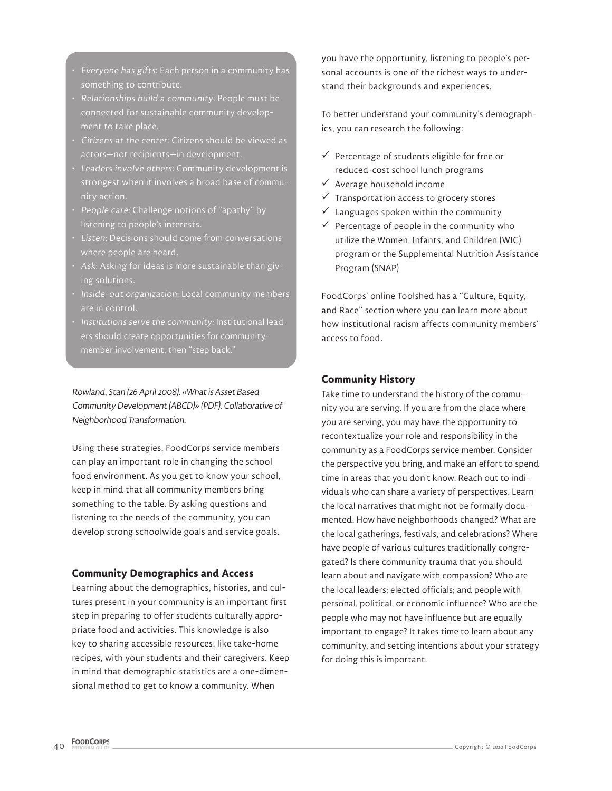- Everyone has gifts: Each person in a community has something to contribute.
- Relationships build a community: People must be connected for sustainable community development to take place.
- Citizens at the center: Citizens should be viewed as actors—not recipients—in development.
- Leaders involve others: Community development is strongest when it involves a broad base of commu-
- People care: Challenge notions of "apathy" by listening to people's interests.
- 
- Ask: Asking for ideas is more sustainable than giving solutions.
- Inside-out organization: Local community members are in control.
- Institutions serve the community: Institutional leaders should create opportunities for communitymember involvement, then "step back."

Rowland, Stan (26 April 2008). «What is Asset Based Community Development (ABCD)» (PDF). Collaborative of Neighborhood Transformation.

Using these strategies, FoodCorps service members can play an important role in changing the school food environment. As you get to know your school, keep in mind that all community members bring something to the table. By asking questions and listening to the needs of the community, you can develop strong schoolwide goals and service goals.

### **Community Demographics and Access**

Learning about the demographics, histories, and cultures present in your community is an important first step in preparing to offer students culturally appropriate food and activities. This knowledge is also key to sharing accessible resources, like take-home recipes, with your students and their caregivers. Keep in mind that demographic statistics are a one-dimensional method to get to know a community. When

you have the opportunity, listening to people's personal accounts is one of the richest ways to understand their backgrounds and experiences.

To better understand your community's demographics, you can research the following:

- $\checkmark$  Percentage of students eligible for free or reduced-cost school lunch programs
- $\checkmark$  Average household income
- $\checkmark$  Transportation access to grocery stores
- $\checkmark$  Languages spoken within the community
- $\checkmark$  Percentage of people in the community who utilize the Women, Infants, and Children (WIC) program or the Supplemental Nutrition Assistance Program (SNAP)

FoodCorps' online Toolshed has a "Culture, Equity, and Race" section where you can learn more about how institutional racism affects community members' access to food.

### **Community History**

Take time to understand the history of the community you are serving. If you are from the place where you are serving, you may have the opportunity to recontextualize your role and responsibility in the community as a FoodCorps service member. Consider the perspective you bring, and make an effort to spend time in areas that you don't know. Reach out to individuals who can share a variety of perspectives. Learn the local narratives that might not be formally documented. How have neighborhoods changed? What are the local gatherings, festivals, and celebrations? Where have people of various cultures traditionally congregated? Is there community trauma that you should learn about and navigate with compassion? Who are the local leaders; elected officials; and people with personal, political, or economic influence? Who are the people who may not have influence but are equally important to engage? It takes time to learn about any community, and setting intentions about your strategy for doing this is important.